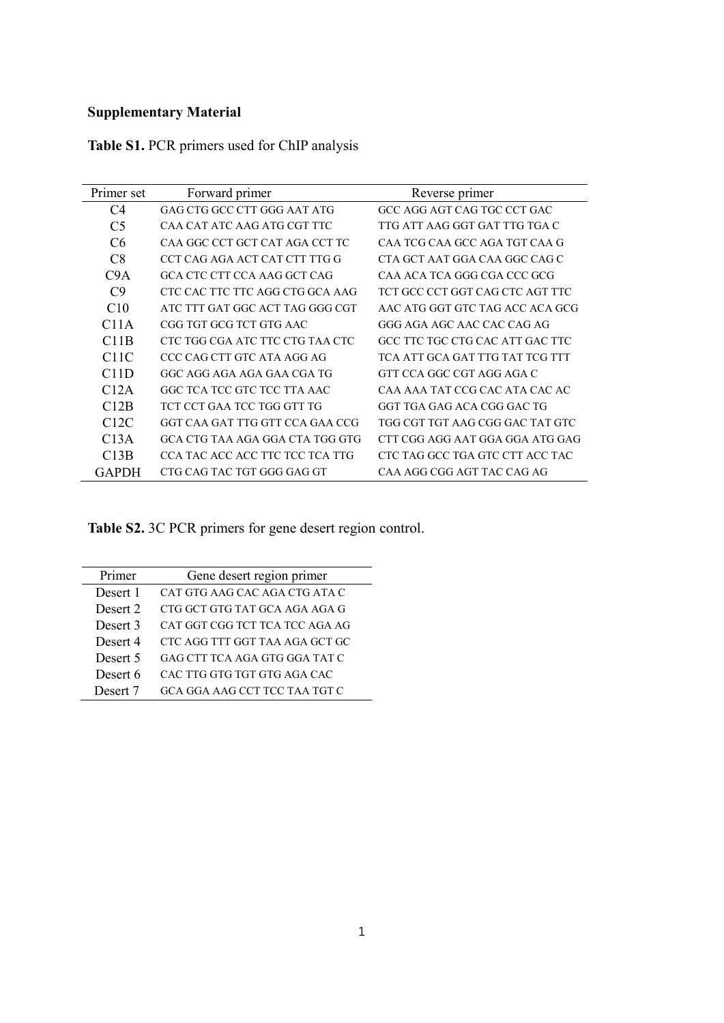## **Supplementary Material**

| Primer set                    | Forward primer                  | Reverse primer                  |  |  |
|-------------------------------|---------------------------------|---------------------------------|--|--|
| C4                            | GAG CTG GCC CTT GGG AAT ATG     | GCC AGG AGT CAG TGC CCT GAC     |  |  |
| C <sub>5</sub>                | CAA CAT ATC AAG ATG CGT TTC     | TTG ATT AAG GGT GAT TTG TGA C   |  |  |
| C6                            | CAA GGC CCT GCT CAT AGA CCT TC  | CAA TCG CAA GCC AGA TGT CAA G   |  |  |
| C8                            | CCT CAG AGA ACT CAT CTT TTG G   | CTA GCT AAT GGA CAA GGC CAG C   |  |  |
| C <sub>9</sub> A              | GCA CTC CTT CCA AAG GCT CAG     | CAA ACA TCA GGG CGA CCC GCG     |  |  |
| C9                            | CTC CAC TTC TTC AGG CTG GCA AAG | TCT GCC CCT GGT CAG CTC AGT TTC |  |  |
| C10                           | ATC TTT GAT GGC ACT TAG GGG CGT | AAC ATG GGT GTC TAG ACC ACA GCG |  |  |
| C <sub>1</sub> 1A             | CGG TGT GCG TCT GTG AAC         | GGG AGA AGC AAC CAC CAG AG      |  |  |
| C <sub>1</sub> 1 <sub>B</sub> | CTC TGG CGA ATC TTC CTG TAA CTC | GCC TTC TGC CTG CAC ATT GAC TTC |  |  |
| C11C                          | CCC CAG CTT GTC ATA AGG AG      | TCA ATT GCA GAT TTG TAT TCG TTT |  |  |
| C11D                          | GGC AGG AGA AGA GAA CGA TG      | GTT CCA GGC CGT AGG AGA C       |  |  |
| C12A                          | GGC TCA TCC GTC TCC TTA AAC     | CAA AAA TAT CCG CAC ATA CAC AC  |  |  |
| C12B                          | TCT CCT GAA TCC TGG GTT TG      | GGT TGA GAG ACA CGG GAC TG      |  |  |
| C <sub>12</sub> C             | GGT CAA GAT TTG GTT CCA GAA CCG | TGG CGT TGT AAG CGG GAC TAT GTC |  |  |
| C13A                          | GCA CTG TAA AGA GGA CTA TGG GTG | CTT CGG AGG AAT GGA GGA ATG GAG |  |  |
| C13B                          | CCA TAC ACC ACC TTC TCC TCA TTG | CTC TAG GCC TGA GTC CTT ACC TAC |  |  |
| <b>GAPDH</b>                  | CTG CAG TAC TGT GGG GAG GT      | CAA AGG CGG AGT TAC CAG AG      |  |  |

**Table S1.** PCR primers used for ChIP analysis

**Table S2.** 3C PCR primers for gene desert region control.

| Primer   | Gene desert region primer      |  |  |  |  |
|----------|--------------------------------|--|--|--|--|
| Desert 1 | CAT GTG AAG CAC AGA CTG ATA C  |  |  |  |  |
| Desert 2 | CTG GCT GTG TAT GCA AGA AGA G  |  |  |  |  |
| Desert 3 | CAT GGT CGG TCT TCA TCC AGA AG |  |  |  |  |
| Desert 4 | CTC AGG TTT GGT TAA AGA GCT GC |  |  |  |  |
| Desert 5 | GAG CTT TCA AGA GTG GGA TAT C  |  |  |  |  |
| Desert 6 | CAC TTG GTG TGT GTG AGA CAC    |  |  |  |  |
| Desert 7 | GCA GGA AAG CCT TCC TAA TGT C  |  |  |  |  |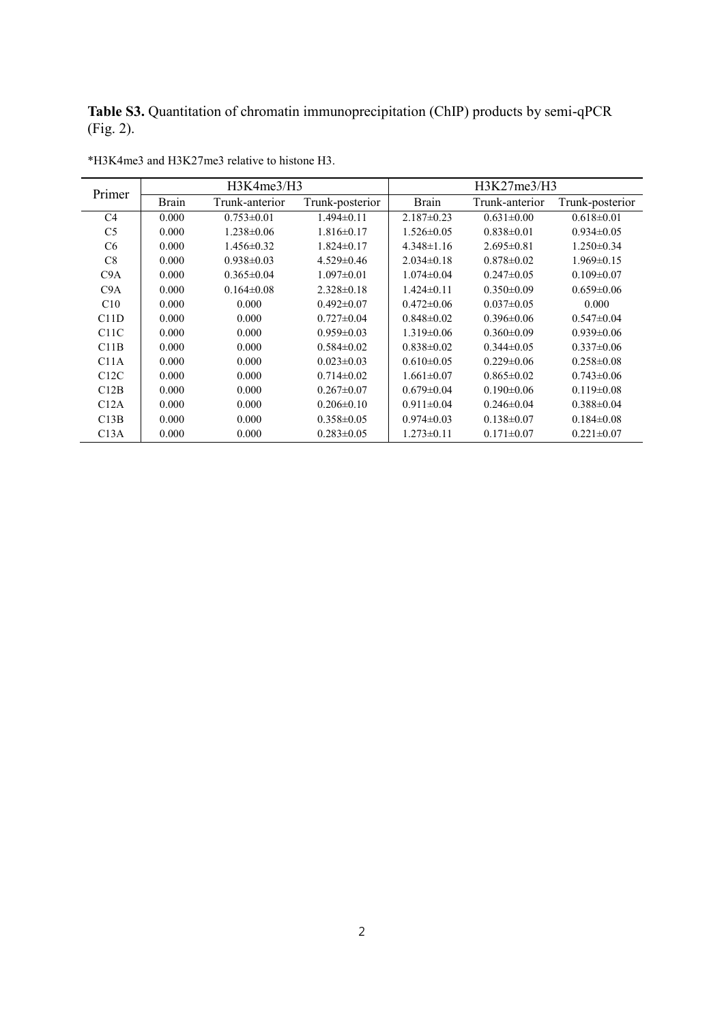**Table S3.** Quantitation of chromatin immunoprecipitation (ChIP) products by semi-qPCR (Fig. 2).

| Primer         | H3K4me3/H3   |                  |                  | H3K27me3/H3      |                  |                  |
|----------------|--------------|------------------|------------------|------------------|------------------|------------------|
|                | <b>Brain</b> | Trunk-anterior   | Trunk-posterior  | <b>Brain</b>     | Trunk-anterior   | Trunk-posterior  |
| C <sub>4</sub> | 0.000        | $0.753 \pm 0.01$ | $1.494\pm 0.11$  | $2.187 \pm 0.23$ | $0.631 \pm 0.00$ | $0.618 \pm 0.01$ |
| C <sub>5</sub> | 0.000        | $1.238 \pm 0.06$ | $1.816 \pm 0.17$ | $1.526 \pm 0.05$ | $0.838 \pm 0.01$ | $0.934 \pm 0.05$ |
| C6             | 0.000        | $1.456 \pm 0.32$ | $1.824 \pm 0.17$ | $4.348 \pm 1.16$ | $2.695 \pm 0.81$ | $1.250 \pm 0.34$ |
| C8             | 0.000        | $0.938 \pm 0.03$ | $4.529\pm0.46$   | $2.034\pm0.18$   | $0.878 \pm 0.02$ | $1.969 \pm 0.15$ |
| C9A            | 0.000        | $0.365 \pm 0.04$ | $1.097\pm0.01$   | $1.074 \pm 0.04$ | $0.247\pm0.05$   | $0.109 \pm 0.07$ |
| C9A            | 0.000        | $0.164\pm0.08$   | $2.328\pm0.18$   | $1.424 \pm 0.11$ | $0.350 \pm 0.09$ | $0.659\pm0.06$   |
| C10            | 0.000        | 0.000            | $0.492 \pm 0.07$ | $0.472 \pm 0.06$ | $0.037 \pm 0.05$ | 0.000            |
| C11D           | 0.000        | 0.000            | $0.727 \pm 0.04$ | $0.848 \pm 0.02$ | $0.396 \pm 0.06$ | $0.547 \pm 0.04$ |
| C11C           | 0.000        | 0.000            | $0.959\pm0.03$   | $1.319 \pm 0.06$ | $0.360 \pm 0.09$ | $0.939 \pm 0.06$ |
| C11B           | 0.000        | 0.000            | $0.584 \pm 0.02$ | $0.838 \pm 0.02$ | $0.344 \pm 0.05$ | $0.337 \pm 0.06$ |
| C11A           | 0.000        | 0.000            | $0.023 \pm 0.03$ | $0.610 \pm 0.05$ | $0.229 \pm 0.06$ | $0.258 \pm 0.08$ |
| C12C           | 0.000        | 0.000            | $0.714 \pm 0.02$ | $1.661 \pm 0.07$ | $0.865 \pm 0.02$ | $0.743 \pm 0.06$ |
| C12B           | 0.000        | 0.000            | $0.267\pm0.07$   | $0.679 \pm 0.04$ | $0.190\pm0.06$   | $0.119 \pm 0.08$ |
| C12A           | 0.000        | 0.000            | $0.206 \pm 0.10$ | $0.911 \pm 0.04$ | $0.246 \pm 0.04$ | $0.388 \pm 0.04$ |
| C13B           | 0.000        | 0.000            | $0.358 \pm 0.05$ | $0.974 \pm 0.03$ | $0.138 \pm 0.07$ | $0.184 \pm 0.08$ |
| C13A           | 0.000        | 0.000            | $0.283 \pm 0.05$ | $1.273 \pm 0.11$ | $0.171 \pm 0.07$ | $0.221 \pm 0.07$ |

\*H3K4me3 and H3K27me3 relative to histone H3.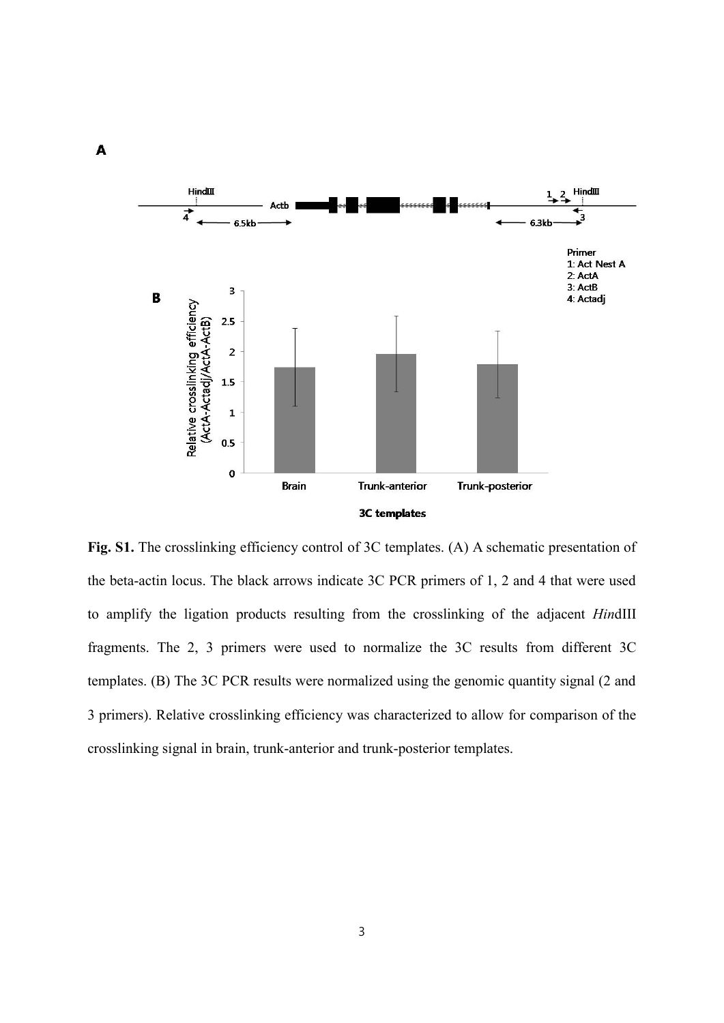

Fig. S1. The crosslinking efficiency control of 3C templates. (A) A schematic presentation of the beta-actin locus. The black arrows indicate 3C PCR primers of 1, 2 and 4 that were used to amplify the ligation products resulting from the crosslinking of the adjacent *Hin*dIII fragments. The 2, 3 primers were used to normalize the 3C results from different 3C templates. (B) The 3C PCR results were normalized using the genomic quantity signal (2 and 3 primers). Relative crosslinking efficiency was characterized to allow for comparison of the crosslinking signal in brain, trunk-anterior and trunk-posterior templates.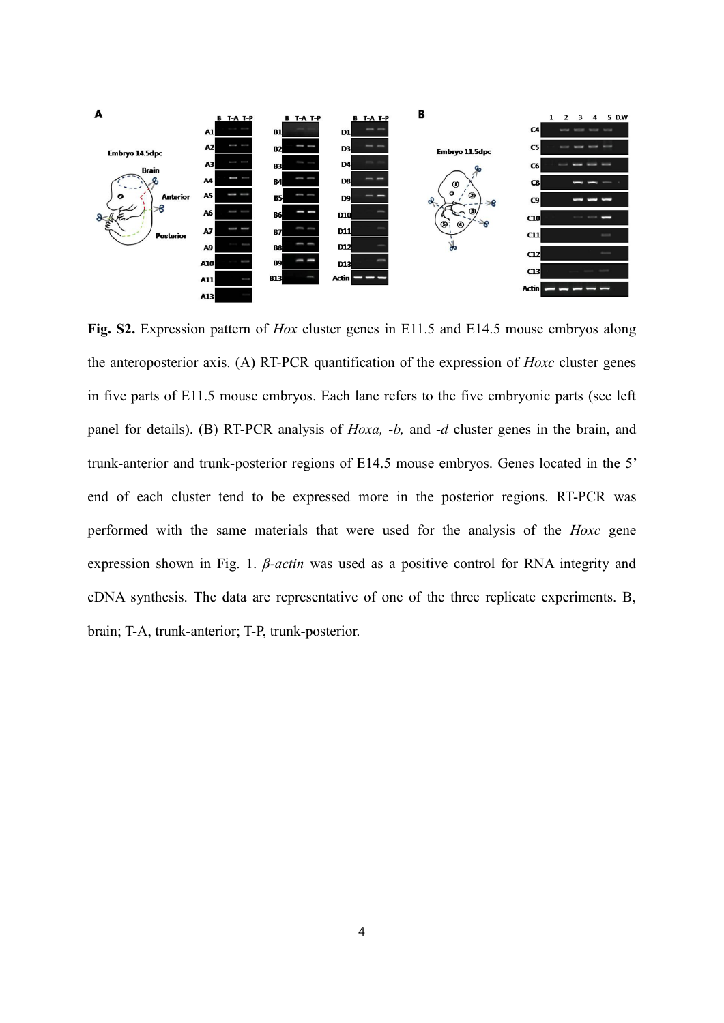

Fig. S2. Expression pattern of *Hox* cluster genes in E11.5 and E14.5 mouse embryos along the anteroposterior axis. (A) RT-PCR quantification of the expression of *Hoxc* cluster genes in five parts of E11.5 mouse embryos. Each lane refers to the five embryonic parts (see left panel for details). (B) RT-PCR analysis of *Hoxa, -b,* and -*d* cluster genes in the brain, and trunk-anterior and trunk-posterior regions of E14.5 mouse embryos. Genes located in the 5' end of each cluster tend to be expressed more in the posterior regions. RT-PCR was performed with the same materials that were used for the analysis of the *Hoxc* gene expression shown in Fig. 1. *β-actin* was used as a positive control for RNA integrity and cDNA synthesis. The data are representative of one of the three replicate experiments. B, brain; T-A, trunk-anterior; T-P, trunk-posterior.